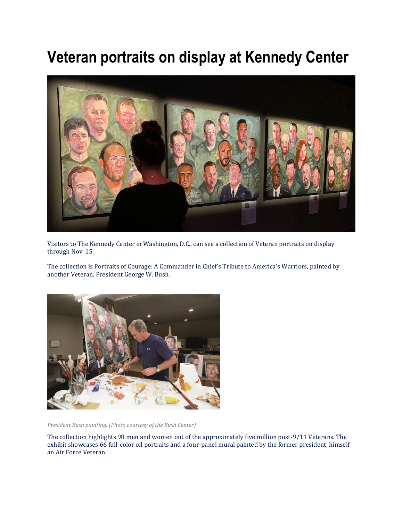## **Veteran portraits on display at Kennedy Center**



Visitors to The Kennedy Center in Washington, D.C., can see a collection of Veteran portraits on display through Nov. 15.

The collection is Portraits of Courage: A Commander in Chief's Tribute to America's Warriors, painted by another Veteran, President George W. Bush.



*President Bush painting. (Photo courtesy of the Bush Center)*

The collection highlights 98 men and women out of the approximately five million post-9/11 Veterans. The exhibit showcases 66 full-color oil portraits and a four-panel mural painted by the former president, himself an Air Force Veteran.